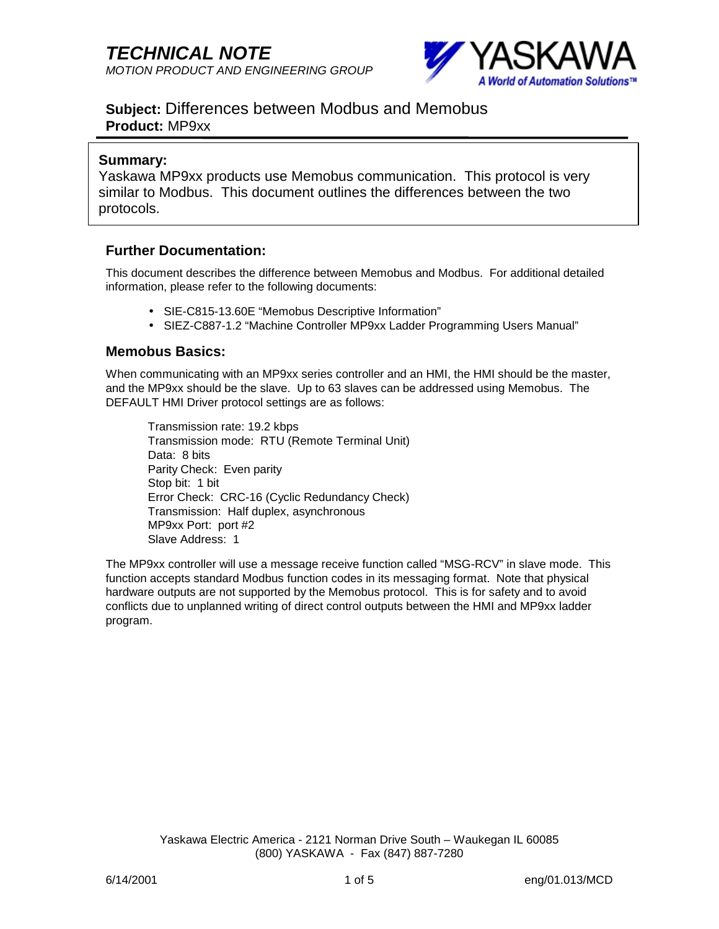

# **Subject:** Differences between Modbus and Memobus **Product:** MP9xx

### **Summary:**

Yaskawa MP9xx products use Memobus communication. This protocol is very similar to Modbus. This document outlines the differences between the two protocols.

### **Further Documentation:**

This document describes the difference between Memobus and Modbus. For additional detailed information, please refer to the following documents:

- SIE-C815-13.60E "Memobus Descriptive Information"
- SIEZ-C887-1.2 "Machine Controller MP9xx Ladder Programming Users Manual"

#### **Memobus Basics:**

When communicating with an MP9xx series controller and an HMI, the HMI should be the master, and the MP9xx should be the slave. Up to 63 slaves can be addressed using Memobus. The DEFAULT HMI Driver protocol settings are as follows:

 Transmission rate: 19.2 kbps Transmission mode: RTU (Remote Terminal Unit) Data: 8 bits Parity Check: Even parity Stop bit: 1 bit Error Check: CRC-16 (Cyclic Redundancy Check) Transmission: Half duplex, asynchronous MP9xx Port: port #2 Slave Address: 1

The MP9xx controller will use a message receive function called "MSG-RCV" in slave mode. This function accepts standard Modbus function codes in its messaging format. Note that physical hardware outputs are not supported by the Memobus protocol. This is for safety and to avoid conflicts due to unplanned writing of direct control outputs between the HMI and MP9xx ladder program.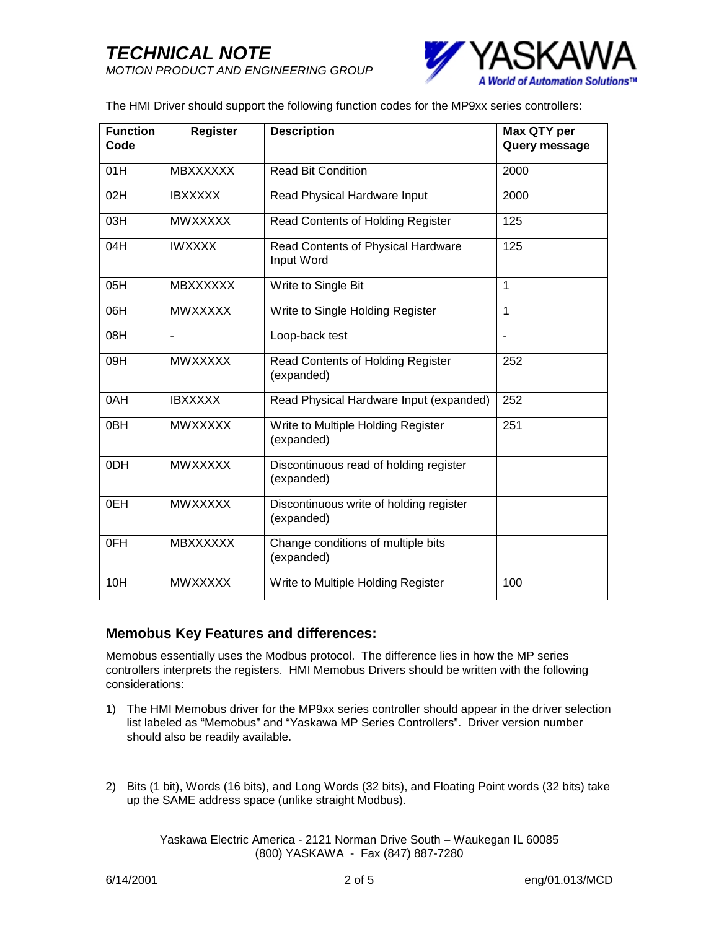

The HMI Driver should support the following function codes for the MP9xx series controllers:

| <b>Function</b><br>Code | <b>Register</b> | <b>Description</b>                                    | Max QTY per<br>Query message |  |  |
|-------------------------|-----------------|-------------------------------------------------------|------------------------------|--|--|
| 01H                     | <b>MBXXXXXX</b> | <b>Read Bit Condition</b>                             | 2000                         |  |  |
| 02H                     | <b>IBXXXXX</b>  | Read Physical Hardware Input                          | 2000                         |  |  |
| 03H                     | <b>MWXXXXX</b>  | Read Contents of Holding Register                     | 125                          |  |  |
| 04H                     | <b>IWXXXX</b>   | Read Contents of Physical Hardware<br>Input Word      | 125                          |  |  |
| 05H                     | <b>MBXXXXXX</b> | Write to Single Bit                                   | $\mathbf 1$                  |  |  |
| 06H                     | <b>MWXXXXX</b>  | Write to Single Holding Register                      | 1                            |  |  |
| 08H                     | $\overline{a}$  | Loop-back test                                        |                              |  |  |
| 09H                     | <b>MWXXXXX</b>  | Read Contents of Holding Register<br>(expanded)       | 252                          |  |  |
| 0AH                     | <b>IBXXXXX</b>  | Read Physical Hardware Input (expanded)               | 252                          |  |  |
| 0BH                     | <b>MWXXXXX</b>  | Write to Multiple Holding Register<br>(expanded)      | 251                          |  |  |
| 0DH                     | <b>MWXXXXX</b>  | Discontinuous read of holding register<br>(expanded)  |                              |  |  |
| 0EH                     | <b>MWXXXXX</b>  | Discontinuous write of holding register<br>(expanded) |                              |  |  |
| 0FH                     | <b>MBXXXXXX</b> | Change conditions of multiple bits<br>(expanded)      |                              |  |  |
| 10H                     | <b>MWXXXXX</b>  | Write to Multiple Holding Register                    | 100                          |  |  |

## **Memobus Key Features and differences:**

Memobus essentially uses the Modbus protocol. The difference lies in how the MP series controllers interprets the registers. HMI Memobus Drivers should be written with the following considerations:

- 1) The HMI Memobus driver for the MP9xx series controller should appear in the driver selection list labeled as "Memobus" and "Yaskawa MP Series Controllers". Driver version number should also be readily available.
- 2) Bits (1 bit), Words (16 bits), and Long Words (32 bits), and Floating Point words (32 bits) take up the SAME address space (unlike straight Modbus).

Yaskawa Electric America - 2121 Norman Drive South – Waukegan IL 60085 (800) YASKAWA - Fax (847) 887-7280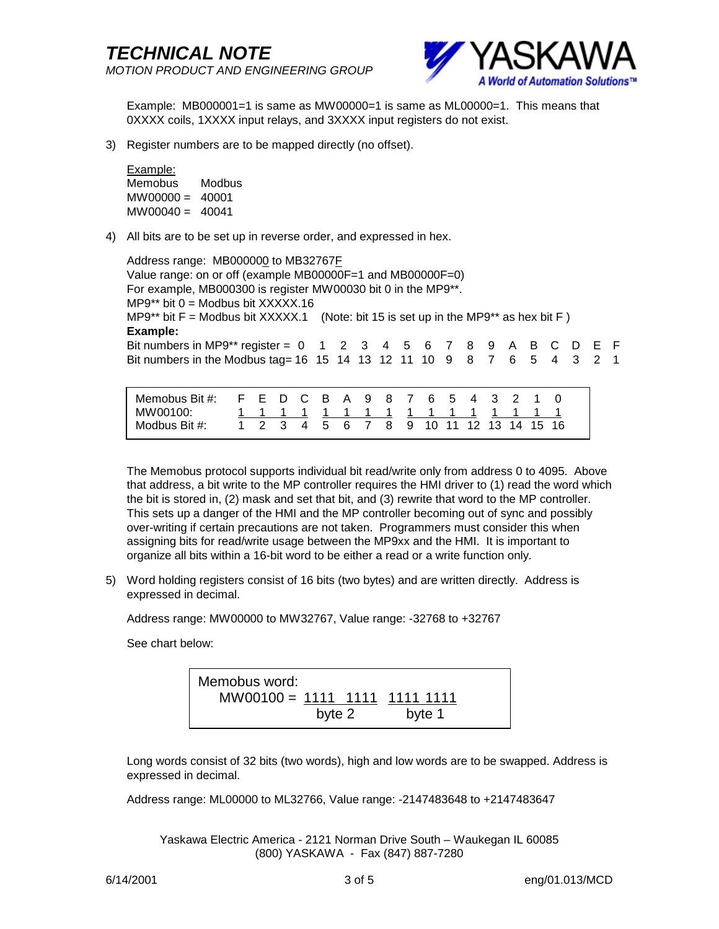

Example: MB000001=1 is same as MW00000=1 is same as ML00000=1. This means that 0XXXX coils, 1XXXX input relays, and 3XXXX input registers do not exist.

3) Register numbers are to be mapped directly (no offset).

Example: Memobus Modbus  $MWO0000 = 40001$  $MWO0040 = 40041$ 

4) All bits are to be set up in reverse order, and expressed in hex.

Address range: MB000000 to MB32767F Value range: on or off (example MB00000F=1 and MB00000F=0) For example, MB000300 is register MW00030 bit 0 in the MP9\*\*.  $MP9**$  bit  $0 = Modbus$  bit XXXXX.16 MP9\*\* bit  $F =$  Modbus bit XXXXX.1 (Note: bit 15 is set up in the MP9\*\* as hex bit F) **Example:**  Bit numbers in MP9\*\* register =  $0$  1 2 3 4 5 6 7 8 9 A B C D E F Bit numbers in the Modbus tag= 16 15 14 13 12 11 10 9 8 7 6 5 4 3 2 1

| Memobus Bit #: F E D C B A 9 8 7 6 5 4 3 2 1 0<br>MW00100: |  |  |  |  | 1 1 1 1 1 1 1 1 1 1 1 1 1 1 1 1        |  |  |  |
|------------------------------------------------------------|--|--|--|--|----------------------------------------|--|--|--|
| Modbus Bit #:                                              |  |  |  |  | 1 2 3 4 5 6 7 8 9 10 11 12 13 14 15 16 |  |  |  |

The Memobus protocol supports individual bit read/write only from address 0 to 4095. Above that address, a bit write to the MP controller requires the HMI driver to (1) read the word which the bit is stored in, (2) mask and set that bit, and (3) rewrite that word to the MP controller. This sets up a danger of the HMI and the MP controller becoming out of sync and possibly over-writing if certain precautions are not taken. Programmers must consider this when assigning bits for read/write usage between the MP9xx and the HMI. It is important to organize all bits within a 16-bit word to be either a read or a write function only.

5) Word holding registers consist of 16 bits (two bytes) and are written directly. Address is expressed in decimal.

Address range: MW00000 to MW32767, Value range: -32768 to +32767

See chart below:

Memobus word: MW00100 = 1111 1111 1111 1111 byte 2 byte 1

Long words consist of 32 bits (two words), high and low words are to be swapped. Address is expressed in decimal.

Address range: ML00000 to ML32766, Value range: -2147483648 to +2147483647

Yaskawa Electric America - 2121 Norman Drive South – Waukegan IL 60085 (800) YASKAWA - Fax (847) 887-7280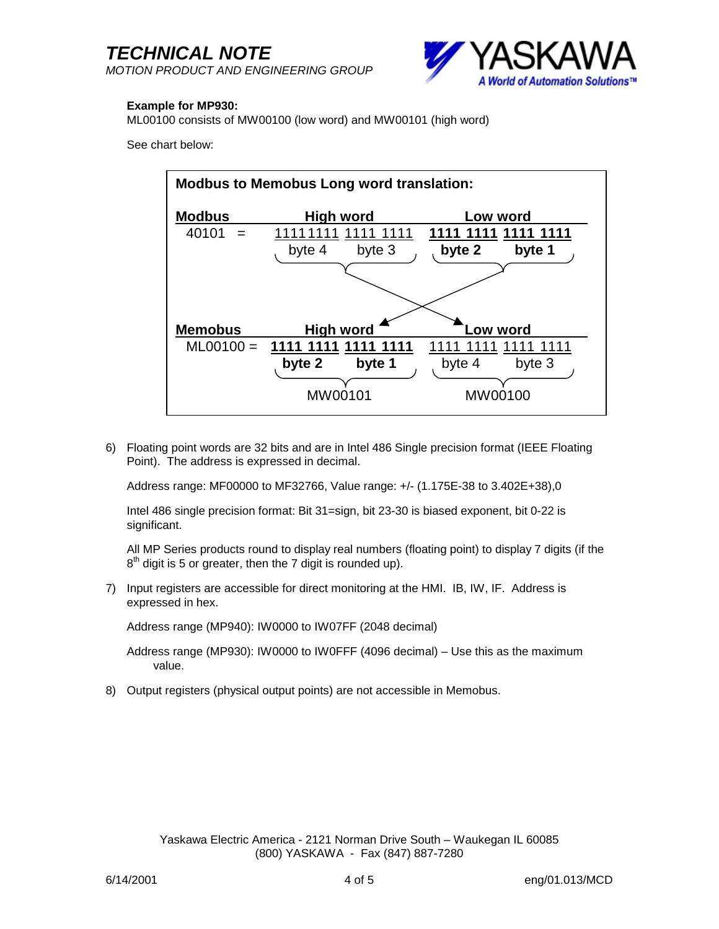*TECHNICAL NOTE MOTION PRODUCT AND ENGINEERING GROUP*



#### **Example for MP930:**

ML00100 consists of MW00100 (low word) and MW00101 (high word)

See chart below:



6) Floating point words are 32 bits and are in Intel 486 Single precision format (IEEE Floating Point). The address is expressed in decimal.

Address range: MF00000 to MF32766, Value range: +/- (1.175E-38 to 3.402E+38),0

Intel 486 single precision format: Bit 31=sign, bit 23-30 is biased exponent, bit 0-22 is significant.

All MP Series products round to display real numbers (floating point) to display 7 digits (if the  $8<sup>th</sup>$  digit is 5 or greater, then the 7 digit is rounded up).

7) Input registers are accessible for direct monitoring at the HMI. IB, IW, IF. Address is expressed in hex.

Address range (MP940): IW0000 to IW07FF (2048 decimal)

Address range (MP930): IW0000 to IW0FFF (4096 decimal) – Use this as the maximum value.

8) Output registers (physical output points) are not accessible in Memobus.